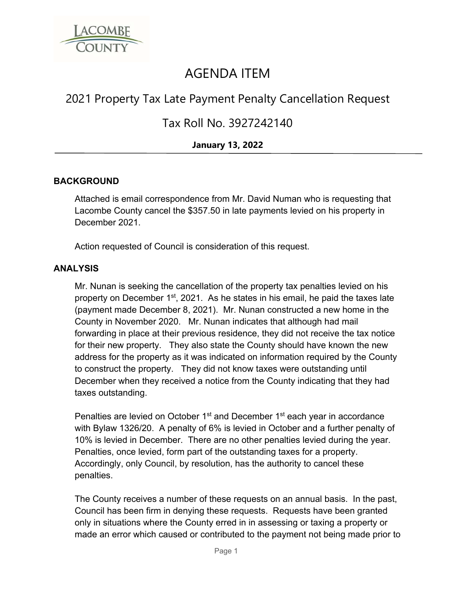

# AGENDA ITEM

## 2021 Property Tax Late Payment Penalty Cancellation Request

### Tax Roll No. 3927242140

### **January 13, 2022**

#### **BACKGROUND**

Attached is email correspondence from Mr. David Numan who is requesting that Lacombe County cancel the \$357.50 in late payments levied on his property in December 2021.

Action requested of Council is consideration of this request.

#### **ANALYSIS**

Mr. Nunan is seeking the cancellation of the property tax penalties levied on his property on December 1<sup>st</sup>, 2021. As he states in his email, he paid the taxes late (payment made December 8, 2021). Mr. Nunan constructed a new home in the County in November 2020. Mr. Nunan indicates that although had mail forwarding in place at their previous residence, they did not receive the tax notice for their new property. They also state the County should have known the new address for the property as it was indicated on information required by the County to construct the property. They did not know taxes were outstanding until December when they received a notice from the County indicating that they had taxes outstanding.

Penalties are levied on October 1<sup>st</sup> and December 1<sup>st</sup> each year in accordance with Bylaw 1326/20. A penalty of 6% is levied in October and a further penalty of 10% is levied in December. There are no other penalties levied during the year. Penalties, once levied, form part of the outstanding taxes for a property. Accordingly, only Council, by resolution, has the authority to cancel these penalties.

The County receives a number of these requests on an annual basis. In the past, Council has been firm in denying these requests. Requests have been granted only in situations where the County erred in in assessing or taxing a property or made an error which caused or contributed to the payment not being made prior to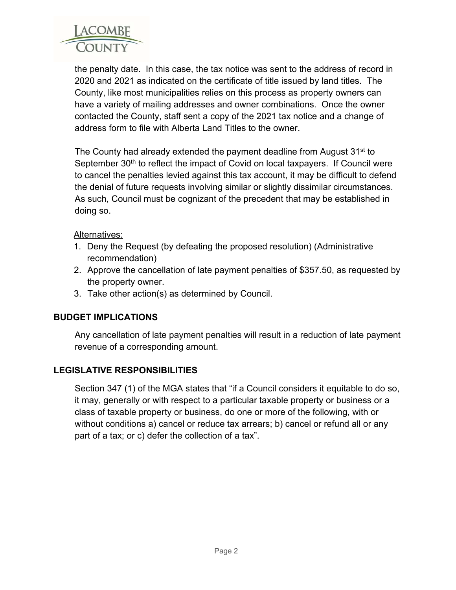

the penalty date. In this case, the tax notice was sent to the address of record in 2020 and 2021 as indicated on the certificate of title issued by land titles. The County, like most municipalities relies on this process as property owners can have a variety of mailing addresses and owner combinations. Once the owner contacted the County, staff sent a copy of the 2021 tax notice and a change of address form to file with Alberta Land Titles to the owner.

The County had already extended the payment deadline from August 31<sup>st</sup> to September 30<sup>th</sup> to reflect the impact of Covid on local taxpayers. If Council were to cancel the penalties levied against this tax account, it may be difficult to defend the denial of future requests involving similar or slightly dissimilar circumstances. As such, Council must be cognizant of the precedent that may be established in doing so.

#### Alternatives:

- 1. Deny the Request (by defeating the proposed resolution) (Administrative recommendation)
- 2. Approve the cancellation of late payment penalties of \$357.50, as requested by the property owner.
- 3. Take other action(s) as determined by Council.

#### **BUDGET IMPLICATIONS**

Any cancellation of late payment penalties will result in a reduction of late payment revenue of a corresponding amount.

#### **LEGISLATIVE RESPONSIBILITIES**

Section 347 (1) of the MGA states that "if a Council considers it equitable to do so, it may, generally or with respect to a particular taxable property or business or a class of taxable property or business, do one or more of the following, with or without conditions a) cancel or reduce tax arrears; b) cancel or refund all or any part of a tax; or c) defer the collection of a tax".